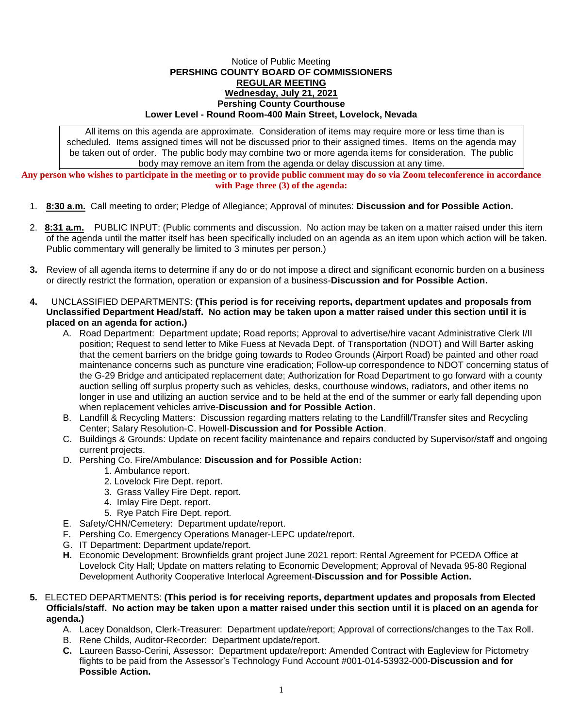## Notice of Public Meeting **PERSHING COUNTY BOARD OF COMMISSIONERS REGULAR MEETING Wednesday, July 21, 2021 Pershing County Courthouse Lower Level - Round Room-400 Main Street, Lovelock, Nevada**

All items on this agenda are approximate. Consideration of items may require more or less time than is scheduled. Items assigned times will not be discussed prior to their assigned times. Items on the agenda may be taken out of order. The public body may combine two or more agenda items for consideration. The public body may remove an item from the agenda or delay discussion at any time.

**Any person who wishes to participate in the meeting or to provide public comment may do so via Zoom teleconference in accordance with Page three (3) of the agenda:**

- 1. **8:30 a.m.** Call meeting to order; Pledge of Allegiance; Approval of minutes: **Discussion and for Possible Action.**
- 2. **8:31 a.m.** PUBLIC INPUT: (Public comments and discussion. No action may be taken on a matter raised under this item of the agenda until the matter itself has been specifically included on an agenda as an item upon which action will be taken. Public commentary will generally be limited to 3 minutes per person.)
- **3.** Review of all agenda items to determine if any do or do not impose a direct and significant economic burden on a business or directly restrict the formation, operation or expansion of a business-**Discussion and for Possible Action.**
- **4.** UNCLASSIFIED DEPARTMENTS: **(This period is for receiving reports, department updates and proposals from Unclassified Department Head/staff. No action may be taken upon a matter raised under this section until it is placed on an agenda for action.)**
	- A. Road Department: Department update; Road reports; Approval to advertise/hire vacant Administrative Clerk I/II position; Request to send letter to Mike Fuess at Nevada Dept. of Transportation (NDOT) and Will Barter asking that the cement barriers on the bridge going towards to Rodeo Grounds (Airport Road) be painted and other road maintenance concerns such as puncture vine eradication; Follow-up correspondence to NDOT concerning status of the G-29 Bridge and anticipated replacement date; Authorization for Road Department to go forward with a county auction selling off surplus property such as vehicles, desks, courthouse windows, radiators, and other items no longer in use and utilizing an auction service and to be held at the end of the summer or early fall depending upon when replacement vehicles arrive-**Discussion and for Possible Action**.
	- B. Landfill & Recycling Matters: Discussion regarding matters relating to the Landfill/Transfer sites and Recycling Center; Salary Resolution-C. Howell-**Discussion and for Possible Action**.
	- C. Buildings & Grounds: Update on recent facility maintenance and repairs conducted by Supervisor/staff and ongoing current projects.
	- D. Pershing Co. Fire/Ambulance: **Discussion and for Possible Action:**
		- 1. Ambulance report.
		- 2. Lovelock Fire Dept. report.
		- 3. Grass Valley Fire Dept. report.
		- 4. Imlay Fire Dept. report.
		- 5. Rye Patch Fire Dept. report.
	- E. Safety/CHN/Cemetery: Department update/report.
	- F. Pershing Co. Emergency Operations Manager-LEPC update/report.
	- G. IT Department: Department update/report.
	- **H.** Economic Development: Brownfields grant project June 2021 report: Rental Agreement for PCEDA Office at Lovelock City Hall; Update on matters relating to Economic Development; Approval of Nevada 95-80 Regional Development Authority Cooperative Interlocal Agreement-**Discussion and for Possible Action.**
- **5.** ELECTED DEPARTMENTS: **(This period is for receiving reports, department updates and proposals from Elected Officials/staff. No action may be taken upon a matter raised under this section until it is placed on an agenda for agenda.)**
	- A. Lacey Donaldson, Clerk-Treasurer: Department update/report; Approval of corrections/changes to the Tax Roll.
	- B. Rene Childs, Auditor-Recorder: Department update/report.
	- **C.** Laureen Basso-Cerini, Assessor: Department update/report: Amended Contract with Eagleview for Pictometry flights to be paid from the Assessor's Technology Fund Account #001-014-53932-000-**Discussion and for Possible Action.**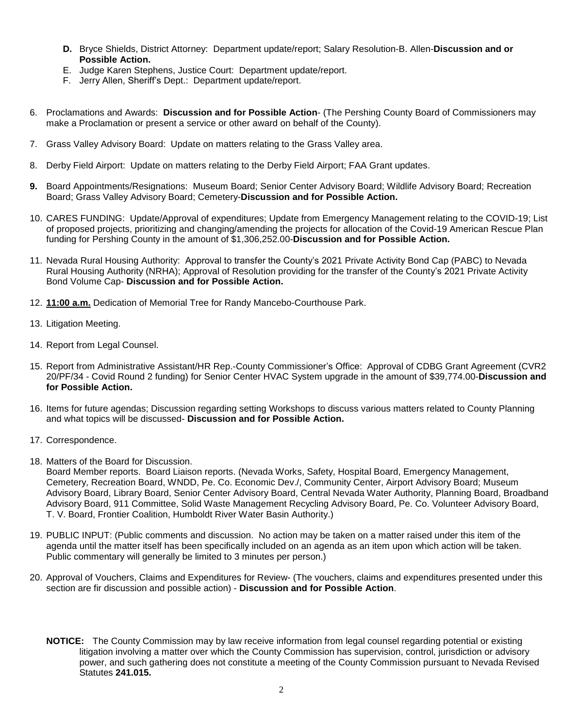- **D.** Bryce Shields, District Attorney: Department update/report; Salary Resolution-B. Allen-**Discussion and or Possible Action.**
- E. Judge Karen Stephens, Justice Court: Department update/report.
- F. Jerry Allen, Sheriff's Dept.: Department update/report.
- 6. Proclamations and Awards: **Discussion and for Possible Action** (The Pershing County Board of Commissioners may make a Proclamation or present a service or other award on behalf of the County).
- 7. Grass Valley Advisory Board: Update on matters relating to the Grass Valley area.
- 8. Derby Field Airport: Update on matters relating to the Derby Field Airport; FAA Grant updates.
- **9.** Board Appointments/Resignations: Museum Board; Senior Center Advisory Board; Wildlife Advisory Board; Recreation Board; Grass Valley Advisory Board; Cemetery-**Discussion and for Possible Action.**
- 10. CARES FUNDING: Update/Approval of expenditures; Update from Emergency Management relating to the COVID-19; List of proposed projects, prioritizing and changing/amending the projects for allocation of the Covid-19 American Rescue Plan funding for Pershing County in the amount of \$1,306,252.00-**Discussion and for Possible Action.**
- 11. Nevada Rural Housing Authority: Approval to transfer the County's 2021 Private Activity Bond Cap (PABC) to Nevada Rural Housing Authority (NRHA); Approval of Resolution providing for the transfer of the County's 2021 Private Activity Bond Volume Cap- **Discussion and for Possible Action.**
- 12. **11:00 a.m.** Dedication of Memorial Tree for Randy Mancebo-Courthouse Park.
- 13. Litigation Meeting.
- 14. Report from Legal Counsel.
- 15. Report from Administrative Assistant/HR Rep.-County Commissioner's Office: Approval of CDBG Grant Agreement (CVR2 20/PF/34 - Covid Round 2 funding) for Senior Center HVAC System upgrade in the amount of \$39,774.00-**Discussion and for Possible Action.**
- 16. Items for future agendas; Discussion regarding setting Workshops to discuss various matters related to County Planning and what topics will be discussed- **Discussion and for Possible Action.**
- 17. Correspondence.
- 18. Matters of the Board for Discussion.

Board Member reports. Board Liaison reports. (Nevada Works, Safety, Hospital Board, Emergency Management, Cemetery, Recreation Board, WNDD, Pe. Co. Economic Dev./, Community Center, Airport Advisory Board; Museum Advisory Board, Library Board, Senior Center Advisory Board, Central Nevada Water Authority, Planning Board, Broadband Advisory Board, 911 Committee, Solid Waste Management Recycling Advisory Board, Pe. Co. Volunteer Advisory Board, T. V. Board, Frontier Coalition, Humboldt River Water Basin Authority.)

- 19. PUBLIC INPUT: (Public comments and discussion. No action may be taken on a matter raised under this item of the agenda until the matter itself has been specifically included on an agenda as an item upon which action will be taken. Public commentary will generally be limited to 3 minutes per person.)
- 20. Approval of Vouchers, Claims and Expenditures for Review- (The vouchers, claims and expenditures presented under this section are fir discussion and possible action) - **Discussion and for Possible Action**.
	- **NOTICE:** The County Commission may by law receive information from legal counsel regarding potential or existing litigation involving a matter over which the County Commission has supervision, control, jurisdiction or advisory power, and such gathering does not constitute a meeting of the County Commission pursuant to Nevada Revised Statutes **241.015.**